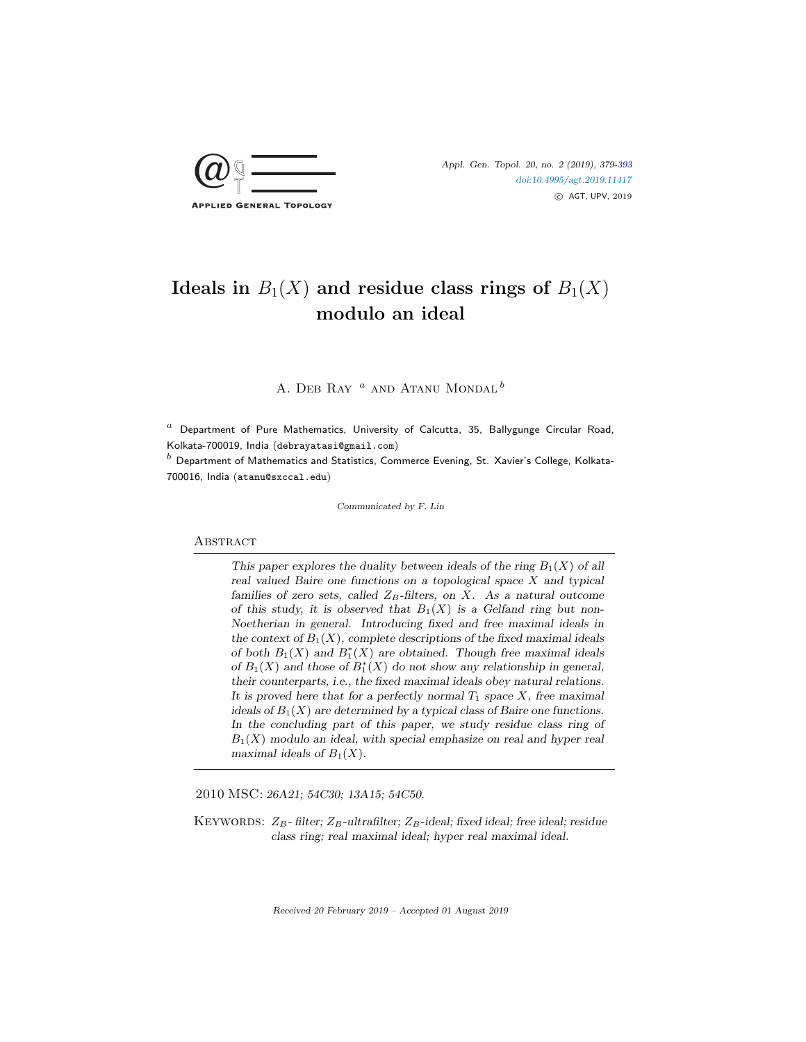

# Ideals in  $B_1(X)$  and residue class rings of  $B_1(X)$ modulo an ideal

A. DEB RAY  $^a$  and Atanu Mondal  $^b$ 

 $a$  Department of Pure Mathematics, University of Calcutta, 35, Ballygunge Circular Road, Kolkata-700019, India (debrayatasi@gmail.com)

 $<sup>b</sup>$  Department of Mathematics and Statistics, Commerce Evening, St. Xavier's College, Kolkata-</sup> 700016, India (atanu@sxccal.edu)

Communicated by F. Lin

## **ABSTRACT**

This paper explores the duality between ideals of the ring  $B_1(X)$  of all real valued Baire one functions on a topological space  $X$  and typical families of zero sets, called  $Z_B$ -filters, on X. As a natural outcome of this study, it is observed that  $B_1(X)$  is a Gelfand ring but non-Noetherian in general. Introducing fixed and free maximal ideals in the context of  $B_1(X)$ , complete descriptions of the fixed maximal ideals of both  $B_1(X)$  and  $B_1^*(X)$  are obtained. Though free maximal ideals of  $B_1(X)$  and those of  $B_1^*(X)$  do not show any relationship in general, their counterparts, i.e., the fixed maximal ideals obey natural relations. It is proved here that for a perfectly normal  $T_1$  space  $X$ , free maximal ideals of  $B_1(X)$  are determined by a typical class of Baire one functions. In the concluding part of this paper, we study residue class ring of  $B_1(X)$  modulo an ideal, with special emphasize on real and hyper real maximal ideals of  $B_1(X)$ .

2010 MSC: 26A21; 54C30; 13A15; 54C50.

KEYWORDS:  $Z_B$ - filter;  $Z_B$ -ultrafilter;  $Z_B$ -ideal; fixed ideal; free ideal; residue class ring; real maximal ideal; hyper real maximal ideal.

Received 20 February 2019 – Accepted 01 August 2019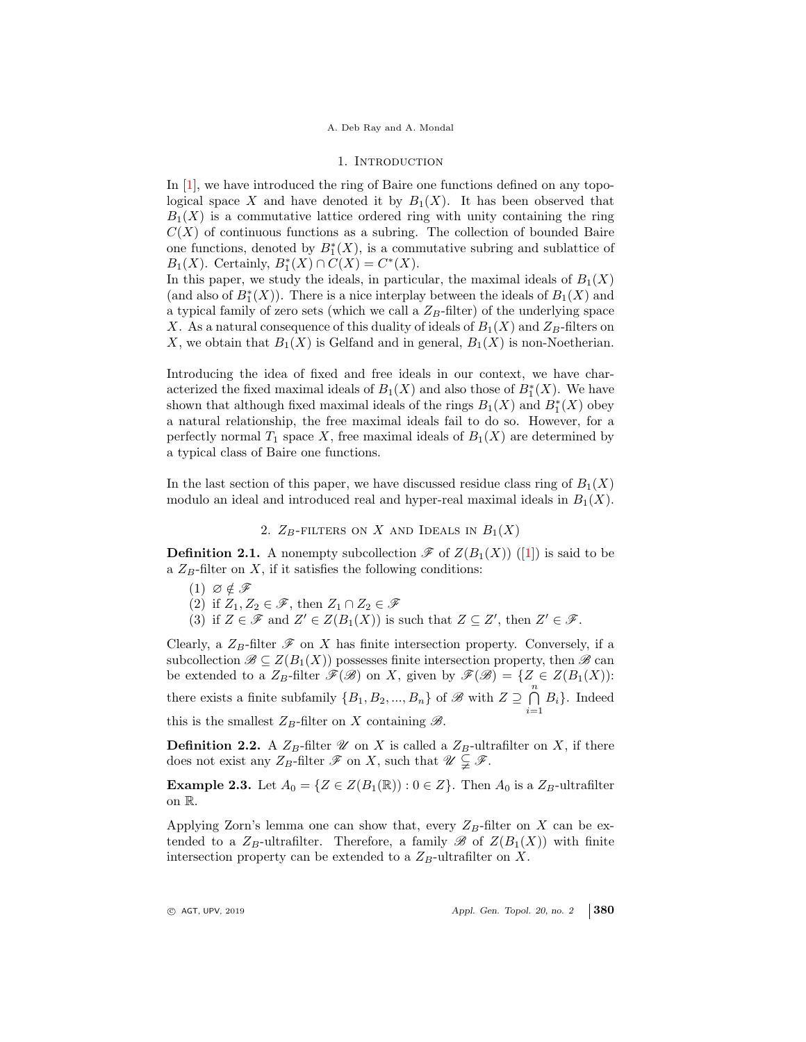### 1. Introduction

In [1], we have introduced the ring of Baire one functions defined on any topological space X and have denoted it by  $B_1(X)$ . It has been observed that  $B_1(X)$  is a commutative lattice ordered ring with unity containing the ring  $C(X)$  of continuous functions as a subring. The collection of bounded Baire one functions, denoted by  $B_1^*(X)$ , is a commutative subring and sublattice of  $B_1(X)$ . Certainly,  $B_1^*(X) \cap C(X) = C^*(X)$ .

In this paper, we study the ideals, in particular, the maximal ideals of  $B_1(X)$ (and also of  $B_1^*(X)$ ). There is a nice interplay between the ideals of  $B_1(X)$  and a typical family of zero sets (which we call a  $Z_B$ -filter) of the underlying space X. As a natural consequence of this duality of ideals of  $B_1(X)$  and  $Z_B$ -filters on X, we obtain that  $B_1(X)$  is Gelfand and in general,  $B_1(X)$  is non-Noetherian.

Introducing the idea of fixed and free ideals in our context, we have characterized the fixed maximal ideals of  $B_1(X)$  and also those of  $B_1^*(X)$ . We have shown that although fixed maximal ideals of the rings  $B_1(X)$  and  $B_1^*(X)$  obey a natural relationship, the free maximal ideals fail to do so. However, for a perfectly normal  $T_1$  space X, free maximal ideals of  $B_1(X)$  are determined by a typical class of Baire one functions.

In the last section of this paper, we have discussed residue class ring of  $B_1(X)$ modulo an ideal and introduced real and hyper-real maximal ideals in  $B_1(X)$ .

2.  $Z_B$ -filters on X and Ideals in  $B_1(X)$ 

**Definition 2.1.** A nonempty subcollection  $\mathscr{F}$  of  $Z(B_1(X))$  ([1]) is said to be a  $Z_B$ -filter on X, if it satisfies the following conditions:

 $(1)$   $\varnothing \notin \mathscr{F}$ 

(2) if  $Z_1, Z_2 \in \mathscr{F}$ , then  $Z_1 \cap Z_2 \in \mathscr{F}$ 

(3) if  $Z \in \mathscr{F}$  and  $Z' \in Z(B_1(X))$  is such that  $Z \subseteq Z'$ , then  $Z' \in \mathscr{F}$ .

Clearly, a  $Z_B$ -filter  $\mathscr F$  on X has finite intersection property. Conversely, if a subcollection  $\mathscr{B} \subseteq Z(B_1(X))$  possesses finite intersection property, then  $\mathscr{B}$  can be extended to a  $Z_B$ -filter  $\mathscr{F}(\mathscr{B})$  on X, given by  $\mathscr{F}(\mathscr{B}) = \{Z \in Z(B_1(X))\colon$ there exists a finite subfamily  $\{B_1, B_2, ..., B_n\}$  of  $\mathscr{B}$  with  $Z \supseteq \bigcap_{n=1}^n Z_n$  $\bigcap_{i=1} B_i$ . Indeed this is the smallest  $Z_B$ -filter on X containing  $\mathscr{B}$ .

**Definition 2.2.** A  $Z_B$ -filter  $\mathcal U$  on X is called a  $Z_B$ -ultrafilter on X, if there does not exist any  $Z_B$ -filter  $\mathscr F$  on X, such that  $\mathscr U \subsetneq \mathscr F$ .

**Example 2.3.** Let  $A_0 = \{Z \in Z(B_1(\mathbb{R})) : 0 \in Z\}$ . Then  $A_0$  is a  $Z_B$ -ultrafilter on R.

Applying Zorn's lemma one can show that, every  $Z_B$ -filter on X can be extended to a  $Z_B$ -ultrafilter. Therefore, a family  $\mathscr{B}$  of  $Z(B_1(X))$  with finite intersection property can be extended to a  $Z_B$ -ultrafilter on X.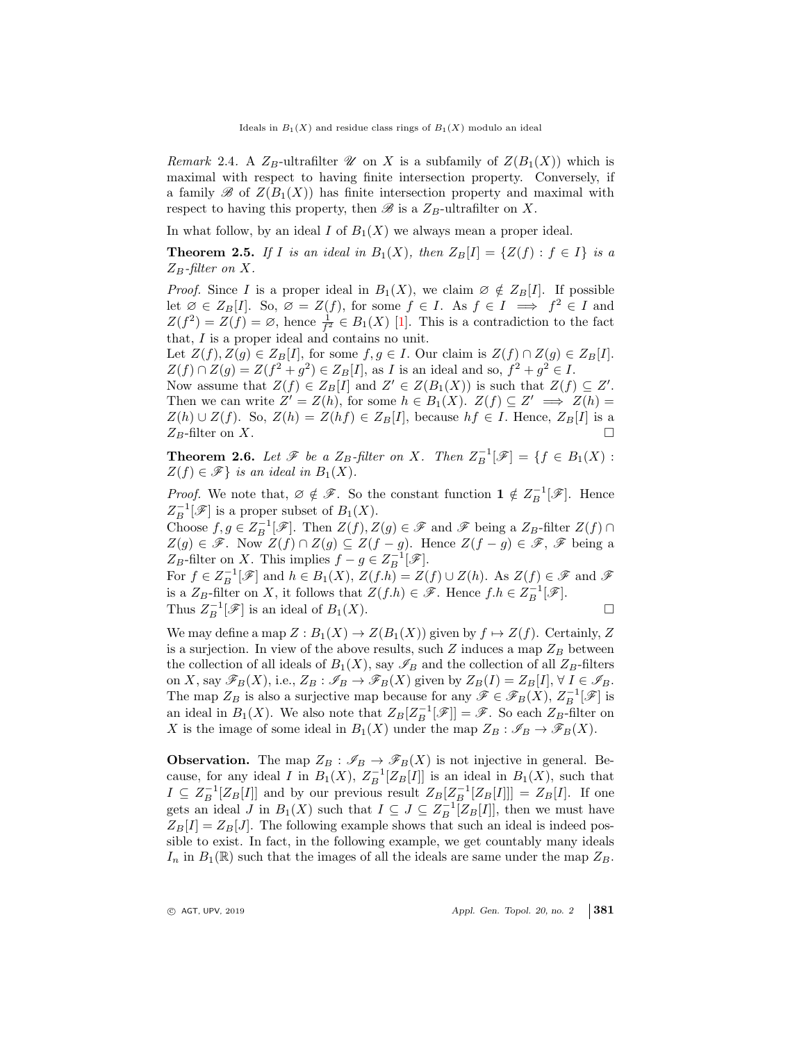Remark 2.4. A  $Z_B$ -ultrafilter  $\mathscr U$  on X is a subfamily of  $Z(B_1(X))$  which is maximal with respect to having finite intersection property. Conversely, if a family  $\mathscr{B}$  of  $Z(B_1(X))$  has finite intersection property and maximal with respect to having this property, then  $\mathscr B$  is a  $Z_B$ -ultrafilter on X.

In what follow, by an ideal  $I$  of  $B_1(X)$  we always mean a proper ideal.

**Theorem 2.5.** If I is an ideal in  $B_1(X)$ , then  $Z_B[I] = \{Z(f) : f \in I\}$  is a  $Z_B$ -filter on X.

*Proof.* Since I is a proper ideal in  $B_1(X)$ , we claim  $\emptyset \notin Z_B[I]$ . If possible let  $\emptyset \in Z_B[I]$ . So,  $\emptyset = Z(f)$ , for some  $f \in I$ . As  $f \in I \implies f^2 \in I$  and  $Z(f^2) = Z(f) = \emptyset$ , hence  $\frac{1}{f^2} \in B_1(X)$  [1]. This is a contradiction to the fact that, I is a proper ideal and contains no unit.

Let  $Z(f), Z(g) \in Z_B[I]$ , for some  $f, g \in I$ . Our claim is  $Z(f) \cap Z(g) \in Z_B[I]$ .  $Z(f) \cap Z(g) = Z(f^2 + g^2) \in Z_B[I],$  as I is an ideal and so,  $f^2 + g^2 \in I$ .

Now assume that  $Z(f) \in Z_B[I]$  and  $Z' \in Z(B_1(X))$  is such that  $Z(f) \subseteq Z'$ . Then we can write  $Z' = Z(h)$ , for some  $h \in B_1(X)$ .  $Z(f) \subseteq Z' \implies Z(h) =$  $Z(h) \cup Z(f)$ . So,  $Z(h) = Z(hf) \in Z_B[I]$ , because  $hf \in I$ . Hence,  $Z_B[I]$  is a  $Z_B$ -filter on X.

**Theorem 2.6.** Let  $\mathscr{F}$  be a  $Z_B$ -filter on X. Then  $Z_B^{-1}[\mathscr{F}] = \{f \in B_1(X) :$  $Z(f) \in \mathscr{F}$  is an ideal in  $B_1(X)$ .

*Proof.* We note that,  $\emptyset \notin \mathscr{F}$ . So the constant function  $1 \notin Z_B^{-1}[\mathscr{F}]$ . Hence  $Z_B^{-1}[\mathscr{F}]$  is a proper subset of  $B_1(X)$ .

Choose  $f, g \in Z_B^{-1}[\mathscr{F}]$ . Then  $Z(f), Z(g) \in \mathscr{F}$  and  $\mathscr{F}$  being a  $Z_B$ -filter  $Z(f) \cap Z(g)$  $Z(g) \in \mathscr{F}$ . Now  $Z(f) \cap Z(g) \subseteq Z(f-g)$ . Hence  $Z(f-g) \in \mathscr{F}$ ,  $\mathscr{F}$  being a  $Z_B$ -filter on X. This implies  $f - g \in Z_B^{-1}[\mathscr{F}].$ 

For  $f \in Z_B^{-1}[\mathscr{F}]$  and  $h \in B_1(X)$ ,  $Z(f \cdot h) = Z(f) \cup Z(h)$ . As  $Z(f) \in \mathscr{F}$  and  $\mathscr{F}$ is a  $Z_B$ -filter on X, it follows that  $Z(f \cdot h) \in \mathscr{F}$ . Hence  $f \cdot h \in Z_B^{-1}[\mathscr{F}]$ .

Thus  $Z_B^{-1}[\mathscr{F}]$  is an ideal of  $B_1(X)$ .

We may define a map  $Z : B_1(X) \to Z(B_1(X))$  given by  $f \mapsto Z(f)$ . Certainly, Z is a surjection. In view of the above results, such  $Z$  induces a map  $Z_B$  between the collection of all ideals of  $B_1(X)$ , say  $\mathscr{I}_B$  and the collection of all  $Z_B$ -filters on X, say  $\mathscr{F}_B(X)$ , i.e.,  $Z_B : \mathscr{I}_B \to \mathscr{F}_B(X)$  given by  $Z_B(I) = Z_B[I], \forall I \in \mathscr{I}_B$ . The map  $Z_B$  is also a surjective map because for any  $\mathscr{F} \in \mathscr{F}_B(X)$ ,  $Z_B^{-1}[\mathscr{F}]$  is an ideal in  $B_1(X)$ . We also note that  $Z_B[Z_B^{-1}]\mathscr{F}] = \mathscr{F}$ . So each  $Z_B$ -filter on X is the image of some ideal in  $B_1(X)$  under the map  $Z_B : \mathscr{I}_B \to \mathscr{F}_B(X)$ .

**Observation.** The map  $Z_B : \mathscr{I}_B \to \mathscr{F}_B(X)$  is not injective in general. Because, for any ideal I in  $B_1(X)$ ,  $Z_B^{-1}[Z_B[I]]$  is an ideal in  $B_1(X)$ , such that  $I \subseteq Z_B^{-1}[Z_B[I]]$  and by our previous result  $Z_B[Z_B^{-1}[Z_B[I]]] = Z_B[I]$ . If one gets an ideal *J* in  $B_1(X)$  such that  $I \subseteq J \subseteq Z_B^{-1}[Z_B[I]]$ , then we must have  $Z_B[I] = Z_B[J]$ . The following example shows that such an ideal is indeed possible to exist. In fact, in the following example, we get countably many ideals  $I_n$  in  $B_1(\mathbb{R})$  such that the images of all the ideals are same under the map  $Z_B$ .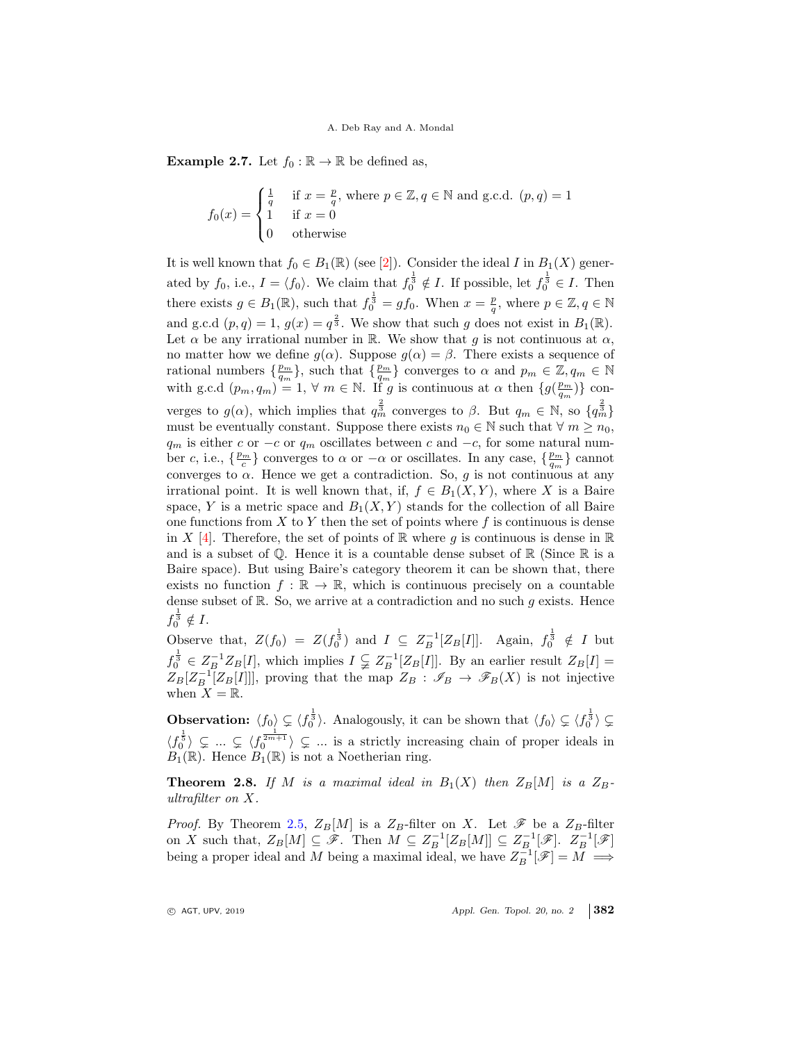**Example 2.7.** Let  $f_0 : \mathbb{R} \to \mathbb{R}$  be defined as,

$$
f_0(x) = \begin{cases} \frac{1}{q} & \text{if } x = \frac{p}{q}, \text{ where } p \in \mathbb{Z}, q \in \mathbb{N} \text{ and g.c.d. } (p, q) = 1\\ 1 & \text{if } x = 0\\ 0 & \text{otherwise} \end{cases}
$$

It is well known that  $f_0 \in B_1(\mathbb{R})$  (see [2]). Consider the ideal I in  $B_1(X)$  generated by  $f_0$ , i.e.,  $I = \langle f_0 \rangle$ . We claim that  $f_0^{\frac{1}{3}} \notin I$ . If possible, let  $f_0^{\frac{1}{3}} \in I$ . Then there exists  $g \in B_1(\mathbb{R})$ , such that  $f_0^{\frac{1}{3}} = gf_0$ . When  $x = \frac{p}{q}$ , where  $p \in \mathbb{Z}, q \in \mathbb{N}$ and g.c.d  $(p, q) = 1$ ,  $g(x) = q^{\frac{2}{3}}$ . We show that such g does not exist in  $B_1(\mathbb{R})$ . Let  $\alpha$  be any irrational number in R. We show that g is not continuous at  $\alpha$ , no matter how we define  $g(\alpha)$ . Suppose  $g(\alpha) = \beta$ . There exists a sequence of rational numbers  $\{\frac{p_m}{q_m}\}$ , such that  $\{\frac{p_m}{q_m}\}$  converges to  $\alpha$  and  $p_m \in \mathbb{Z}, q_m \in \mathbb{N}$ with g.c.d  $(p_m, q_m) = 1$ ,  $\forall m \in \mathbb{N}$ . If g is continuous at  $\alpha$  then  $\{g(\frac{p_m}{q_m})\}$  converges to  $g(\alpha)$ , which implies that  $q_m^{\frac{2}{3}}$  converges to  $\beta$ . But  $q_m \in \mathbb{N}$ , so  $\{q_m^{\frac{2}{3}}\}$ must be eventually constant. Suppose there exists  $n_0 \in \mathbb{N}$  such that  $\forall m \geq n_0$ ,  $q_m$  is either c or  $-c$  or  $q_m$  oscillates between c and  $-c$ , for some natural number c, i.e.,  $\{\frac{p_m}{c}\}$  converges to  $\alpha$  or  $-\alpha$  or oscillates. In any case,  $\{\frac{p_m}{q_m}\}$  cannot converges to  $\alpha$ . Hence we get a contradiction. So, g is not continuous at any irrational point. It is well known that, if,  $f \in B_1(X,Y)$ , where X is a Baire space, Y is a metric space and  $B_1(X, Y)$  stands for the collection of all Baire one functions from  $X$  to  $Y$  then the set of points where  $f$  is continuous is dense in X [4]. Therefore, the set of points of R where q is continuous is dense in R and is a subset of  $\mathbb Q$ . Hence it is a countable dense subset of  $\mathbb R$  (Since  $\mathbb R$  is a Baire space). But using Baire's category theorem it can be shown that, there exists no function  $f : \mathbb{R} \to \mathbb{R}$ , which is continuous precisely on a countable dense subset of  $\mathbb{R}$ . So, we arrive at a contradiction and no such g exists. Hence  $f_0^{\frac{1}{3}} \notin I.$ 

Observe that,  $Z(f_0) = Z(f_0^{\frac{1}{3}})$  and  $I \subseteq Z_B^{-1}[Z_B[I]]$ . Again,  $f_0^{\frac{1}{3}} \notin I$  but  $f_0^{\frac{1}{3}} \in Z_B^{-1}Z_B[I]$ , which implies  $I \subsetneq Z_B^{-1}[Z_B[I]]$ . By an earlier result  $Z_B[I] =$  $Z_B[Z_B^{-1}[Z_B[I]]]$ , proving that the map  $Z_B : \mathscr{I}_B \to \mathscr{F}_B(X)$  is not injective when  $X = \mathbb{R}$ .

**Observation:**  $\langle f_0 \rangle \subsetneq \langle f_0^{\frac{1}{3}} \rangle$ . Analogously, it can be shown that  $\langle f_0 \rangle \subsetneq \langle f_0^{\frac{1}{3}} \rangle \subsetneq$  $\langle f_0^{\frac{1}{5}} \rangle \subsetneq \dots \subsetneq \langle f_0^{\frac{1}{2m+1}} \rangle \subsetneq \dots$  is a strictly increasing chain of proper ideals in  $B_1(\mathbb{R})$ . Hence  $B_1(\mathbb{R})$  is not a Noetherian ring.

**Theorem 2.8.** If M is a maximal ideal in  $B_1(X)$  then  $Z_B[M]$  is a  $Z_B$ ultrafilter on X.

*Proof.* By Theorem 2.5,  $Z_B[M]$  is a  $Z_B$ -filter on X. Let  $\mathscr F$  be a  $Z_B$ -filter on X such that,  $Z_B[M] \subseteq \mathscr{F}$ . Then  $M \subseteq Z_B^{-1}[Z_B[M]] \subseteq Z_{B}^{-1}[\mathscr{F}]$ .  $Z_B^{-1}[\mathscr{F}]$ being a proper ideal and M being a maximal ideal, we have  $Z_B^{-1}[\mathscr{F}] = M \implies$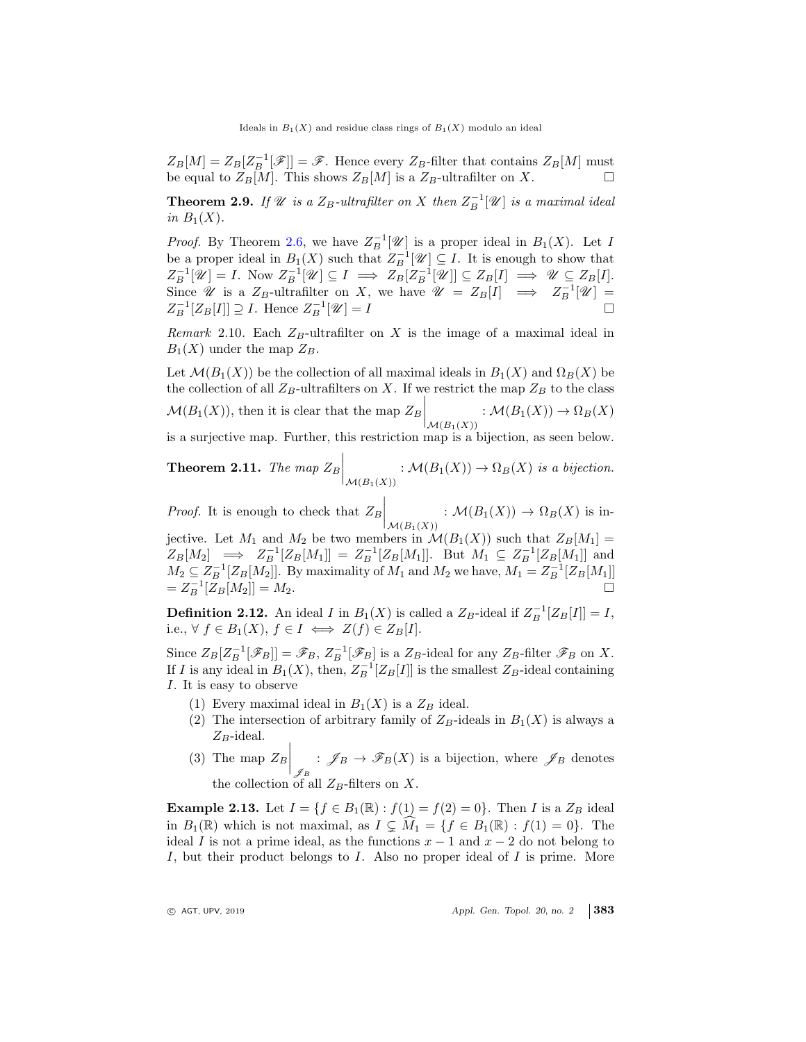$Z_B[M] = Z_B[Z_B^{-1}[\mathscr{F}]] = \mathscr{F}$ . Hence every  $Z_B$ -filter that contains  $Z_B[M]$  must be equal to  $Z_B[M]$ . This shows  $Z_B[M]$  is a  $Z_B$ -ultrafilter on X.

**Theorem 2.9.** If  $\mathcal{U}$  is a  $Z_B$ -ultrafilter on X then  $Z_B^{-1}[\mathcal{U}]$  is a maximal ideal in  $B_1(X)$ .

*Proof.* By Theorem 2.6, we have  $Z_B^{-1}[\mathscr{U}]$  is a proper ideal in  $B_1(X)$ . Let I be a proper ideal in  $B_1(X)$  such that  $Z_B^{-1}[\mathscr{U}] \subseteq I$ . It is enough to show that  $Z_B^{-1}[\mathscr{U}] = I.$  Now  $Z_B^{-1}[\mathscr{U}] \subseteq I \implies Z_B[Z_B^{-1}[\mathscr{U}]] \subseteq Z_B[I] \implies \mathscr{U} \subseteq Z_B[I].$ Since *U* is a  $Z_B$ -ultrafilter on X, we have  $\mathcal{U} = Z_B[I] \implies Z_B^{-1}[\mathcal{U}] =$  $Z_B^{-1}[Z_B[I]] \supseteq I$ . Hence  $Z_B^{-1}[\mathscr{U}] = I$ 

Remark 2.10. Each  $Z_B$ -ultrafilter on X is the image of a maximal ideal in  $B_1(X)$  under the map  $Z_B$ .

Let  $\mathcal{M}(B_1(X))$  be the collection of all maximal ideals in  $B_1(X)$  and  $\Omega_B(X)$  be the collection of all  $Z_B$ -ultrafilters on X. If we restrict the map  $Z_B$  to the class  $\mathcal{M}(B_1(X))$ , then it is clear that the map  $Z_B$  $\Big|_{\mathcal{M}(B_1(X))} : \mathcal{M}(B_1(X)) \to \Omega_B(X)$ is a surjective map. Further, this restriction map is a bijection, as seen below.

**Theorem 2.11.** The map  $Z_B$  $\Big|_{\mathcal{M}(B_1(X))} : \mathcal{M}(B_1(X)) \to \Omega_B(X)$  is a bijection.

*Proof.* It is enough to check that  $Z_B$  $\Big|_{\mathcal{M}(B_1(X))} : \mathcal{M}(B_1(X)) \to \Omega_B(X)$  is in-

jective. Let  $M_1$  and  $M_2$  be two members in  $\mathcal{M}(B_1(X))$  such that  $Z_B[M_1] =$  $Z_B[M_2] \implies Z_B^{-1}[Z_B[M_1]] = Z_B^{-1}[Z_B[M_1]]$ . But  $M_1 \subseteq Z_B^{-1}[Z_B[M_1]]$  and  $M_2 \subseteq Z_B^{-1}[Z_B[M_2]]$ . By maximality of  $M_1$  and  $M_2$  we have,  $M_1 = Z_B^{-1}[Z_B[M_1]]$  $= Z_B^{-1}[\bar{Z}_B[M_2]] = M_2.$ 

**Definition 2.12.** An ideal I in  $B_1(X)$  is called a  $Z_B$ -ideal if  $Z_B^{-1}[Z_B[I]] = I$ , i.e.,  $\forall f \in B_1(X), f \in I \iff Z(f) \in Z_B[I].$ 

Since  $Z_B[Z_B^{-1}[\mathscr{F}_B]] = \mathscr{F}_B$ ,  $Z_B^{-1}[\mathscr{F}_B]$  is a  $Z_B$ -ideal for any  $Z_B$ -filter  $\mathscr{F}_B$  on X. If I is any ideal in  $B_1(X)$ , then,  $Z_B^{-1}[Z_B[I]]$  is the smallest  $Z_B$ -ideal containing I. It is easy to observe

- (1) Every maximal ideal in  $B_1(X)$  is a  $Z_B$  ideal.
- (2) The intersection of arbitrary family of  $Z_B$ -ideals in  $B_1(X)$  is always a  $Z_B$ -ideal.
- (3) The map  $Z_B$  $\Big|_{\mathscr{J}_B} : \mathscr{J}_B \to \mathscr{F}_B(X)$  is a bijection, where  $\mathscr{J}_B$  denotes the collection of all  $Z_B$ -filters on X.

**Example 2.13.** Let  $I = \{f \in B_1(\mathbb{R}) : f(1) = f(2) = 0\}$ . Then I is a  $Z_B$  ideal in  $B_1(\mathbb{R})$  which is not maximal, as  $I \subseteq \widehat{M}_1 = \{f \in B_1(\mathbb{R}) : f(1) = 0\}$ . The ideal I is not a prime ideal, as the functions  $x - 1$  and  $x - 2$  do not belong to I, but their product belongs to I. Also no proper ideal of I is prime. More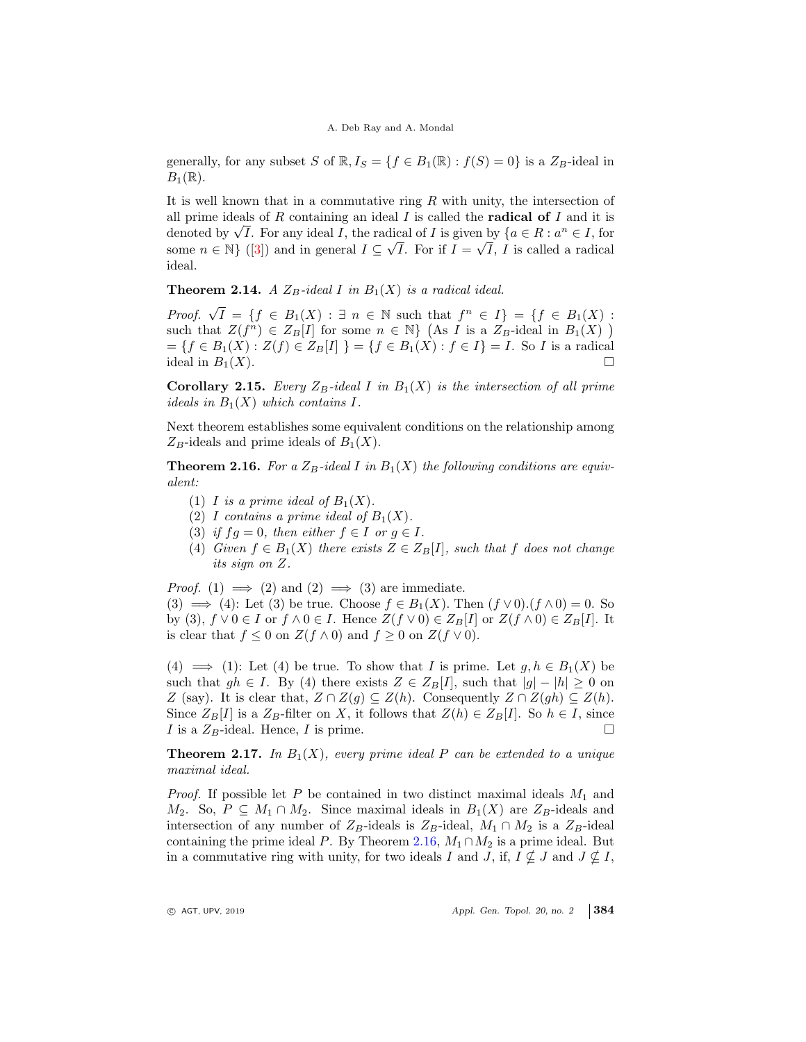generally, for any subset S of  $\mathbb{R}, I_S = \{f \in B_1(\mathbb{R}) : f(S) = 0\}$  is a  $Z_B$ -ideal in  $B_1(\mathbb{R})$ .

It is well known that in a commutative ring  $R$  with unity, the intersection of all prime ideals of  $R$  containing an ideal  $I$  is called the **radical of**  $I$  and it is denoted by  $\sqrt{I}$ . For any ideal I, the radical of I is given by  $\{a \in R : a^n \in I,$  for some  $n \in \mathbb{N}$  {(3)) and in general  $I \subseteq \sqrt{I}$ . For if  $I = \sqrt{I}$ , I is called a radical ideal.

**Theorem 2.14.** A  $Z_B$ -ideal I in  $B_1(X)$  is a radical ideal.

Proof.  $\sqrt{I} = \{f \in B_1(X) : \exists n \in \mathbb{N} \text{ such that } f^n \in I\} = \{f \in B_1(X) : \exists n \in \mathbb{N} \text{ such that } f^n \in I\}$ such that  $Z(f^n) \in Z_B[I]$  for some  $n \in \mathbb{N}$  (As I is a  $Z_B$ -ideal in  $B_1(X)$ )  $=\{f \in B_1(X) : Z(f) \in Z_B[I] \} = \{f \in B_1(X) : f \in I\} = I$ . So I is a radical ideal in  $B_1(X)$ . ideal in  $B_1(X)$ .

Corollary 2.15. Every  $Z_B$ -ideal I in  $B_1(X)$  is the intersection of all prime ideals in  $B_1(X)$  which contains I.

Next theorem establishes some equivalent conditions on the relationship among  $Z_B$ -ideals and prime ideals of  $B_1(X)$ .

**Theorem 2.16.** For a  $Z_B$ -ideal I in  $B_1(X)$  the following conditions are equivalent:

- (1) I is a prime ideal of  $B_1(X)$ .
- (2) I contains a prime ideal of  $B_1(X)$ .
- (3) if  $fg = 0$ , then either  $f \in I$  or  $g \in I$ .
- (4) Given  $f \in B_1(X)$  there exists  $Z \in Z_B[I]$ , such that f does not change its sign on Z.

*Proof.* (1)  $\implies$  (2) and (2)  $\implies$  (3) are immediate.

(3)  $\implies$  (4): Let (3) be true. Choose  $f \in B_1(X)$ . Then  $(f \vee 0)$ .  $(f \wedge 0) = 0$ . So by (3),  $f \vee 0 \in I$  or  $f \wedge 0 \in I$ . Hence  $Z(f \vee 0) \in Z_B[I]$  or  $Z(f \wedge 0) \in Z_B[I]$ . It is clear that  $f \leq 0$  on  $Z(f \wedge 0)$  and  $f \geq 0$  on  $Z(f \vee 0)$ .

(4)  $\implies$  (1): Let (4) be true. To show that I is prime. Let  $g, h \in B_1(X)$  be such that  $gh \in I$ . By (4) there exists  $Z \in Z_B[I]$ , such that  $|g| - |h| \geq 0$  on Z (say). It is clear that,  $Z \cap Z(g) \subseteq Z(h)$ . Consequently  $Z \cap Z(gh) \subseteq Z(h)$ . Since  $Z_B[I]$  is a  $Z_B$ -filter on X, it follows that  $Z(h) \in Z_B[I]$ . So  $h \in I$ , since  $I$  is a  $Z_B$ -ideal. Hence,  $I$  is prime. I is a  $Z_B$ -ideal. Hence, I is prime.

**Theorem 2.17.** In  $B_1(X)$ , every prime ideal P can be extended to a unique maximal ideal.

*Proof.* If possible let P be contained in two distinct maximal ideals  $M_1$  and  $M_2$ . So,  $P \subseteq M_1 \cap M_2$ . Since maximal ideals in  $B_1(X)$  are  $Z_B$ -ideals and intersection of any number of  $Z_B$ -ideals is  $Z_B$ -ideal,  $M_1 \cap M_2$  is a  $Z_B$ -ideal containing the prime ideal P. By Theorem 2.16,  $M_1 \cap M_2$  is a prime ideal. But in a commutative ring with unity, for two ideals I and J, if,  $I \nsubseteq J$  and  $J \nsubseteq I$ ,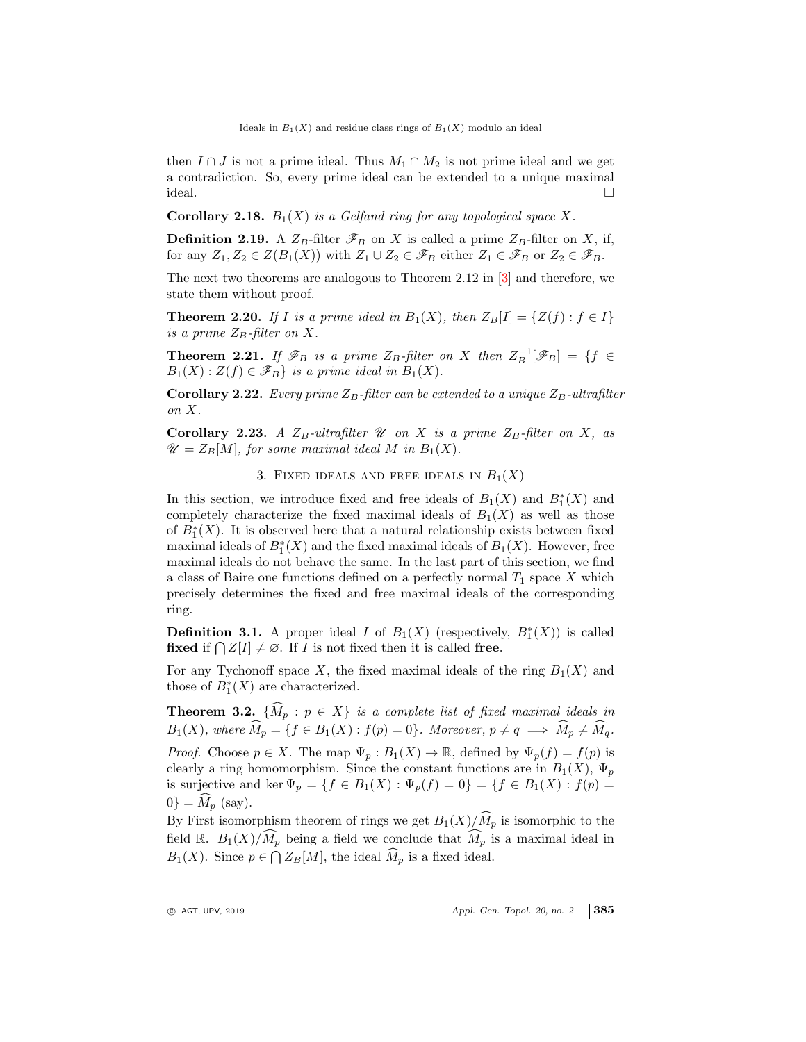then  $I \cap J$  is not a prime ideal. Thus  $M_1 \cap M_2$  is not prime ideal and we get a contradiction. So, every prime ideal can be extended to a unique maximal ideal.

**Corollary 2.18.**  $B_1(X)$  is a Gelfand ring for any topological space X.

**Definition 2.19.** A  $Z_B$ -filter  $\mathscr{F}_B$  on X is called a prime  $Z_B$ -filter on X, if, for any  $Z_1, Z_2 \in Z(B_1(X))$  with  $Z_1 \cup Z_2 \in \mathscr{F}_B$  either  $Z_1 \in \mathscr{F}_B$  or  $Z_2 \in \mathscr{F}_B$ .

The next two theorems are analogous to Theorem 2.12 in [3] and therefore, we state them without proof.

**Theorem 2.20.** If I is a prime ideal in  $B_1(X)$ , then  $Z_B[I] = \{Z(f) : f \in I\}$ is a prime  $Z_B$ -filter on X.

**Theorem 2.21.** If  $\mathscr{F}_B$  is a prime  $Z_B$ -filter on X then  $Z_B^{-1}[\mathscr{F}_B] = \{f \in \mathscr{F}_B | f \in \mathscr{F}_B\}$  $B_1(X): Z(f) \in \mathscr{F}_B$  is a prime ideal in  $B_1(X)$ .

**Corollary 2.22.** Every prime  $Z_B$ -filter can be extended to a unique  $Z_B$ -ultrafilter on X.

Corollary 2.23. A  $Z_B$ -ultrafilter  $\mathscr U$  on X is a prime  $Z_B$ -filter on X, as  $\mathscr{U} = Z_B[M]$ , for some maximal ideal M in  $B_1(X)$ .

3. FIXED IDEALS AND FREE IDEALS IN  $B_1(X)$ 

In this section, we introduce fixed and free ideals of  $B_1(X)$  and  $B_1^*(X)$  and completely characterize the fixed maximal ideals of  $B_1(X)$  as well as those of  $B_1^*(X)$ . It is observed here that a natural relationship exists between fixed maximal ideals of  $B_1^*(X)$  and the fixed maximal ideals of  $B_1(X)$ . However, free maximal ideals do not behave the same. In the last part of this section, we find a class of Baire one functions defined on a perfectly normal  $T_1$  space X which precisely determines the fixed and free maximal ideals of the corresponding ring.

**Definition 3.1.** A proper ideal I of  $B_1(X)$  (respectively,  $B_1^*(X)$ ) is called fixed if  $\bigcap Z[I] \neq \emptyset$ . If *I* is not fixed then it is called free.

For any Tychonoff space X, the fixed maximal ideals of the ring  $B_1(X)$  and those of  $B_1^*(X)$  are characterized.

**Theorem 3.2.**  $\{\widehat{M}_p : p \in X\}$  is a complete list of fixed maximal ideals in  $B_1(X)$ , where  $\widehat{M}_p = \{f \in B_1(X) : f(p) = 0\}$ . Moreover,  $p \neq q \implies \widehat{M}_p \neq \widehat{M}_q$ . *Proof.* Choose  $p \in X$ . The map  $\Psi_p : B_1(X) \to \mathbb{R}$ , defined by  $\Psi_p(f) = f(p)$  is clearly a ring homomorphism. Since the constant functions are in  $B_1(X)$ ,  $\Psi_p$ is surjective and ker  $\Psi_p = \{f \in B_1(X) : \Psi_p(f) = 0\} = \{f \in B_1(X) : f(p) = 0\}$  $0$ } =  $M_p$  (say).

By First isomorphism theorem of rings we get  $B_1(X)/\widehat{M}_p$  is isomorphic to the field R.  $B_1(X)/\widehat{M}_p$  being a field we conclude that  $\widehat{M}_p$  is a maximal ideal in  $B_1(X)$ . Since  $p \in \bigcap Z_B[M]$ , the ideal  $\widehat{M}_p$  is a fixed ideal.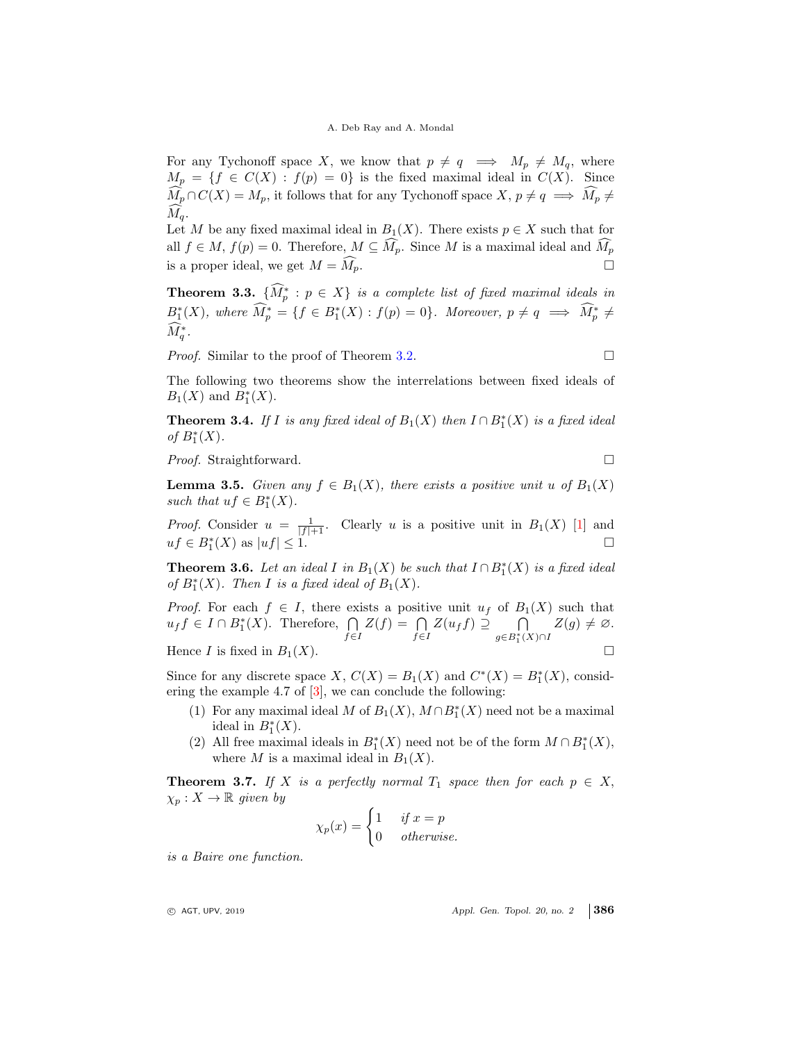For any Tychonoff space X, we know that  $p \neq q \implies M_p \neq M_q$ , where  $M_p = \{f \in C(X) : f(p) = 0\}$  is the fixed maximal ideal in  $C(X)$ . Since  $\widehat{M}_p \cap C(X) = M_p$ , it follows that for any Tychonoff space  $X, p \neq q \implies \widehat{M}_p \neq$  $M_q$ .

Let M be any fixed maximal ideal in  $B_1(X)$ . There exists  $p \in X$  such that for all  $f \in M$ ,  $f(p) = 0$ . Therefore,  $M \subseteq \widehat{M}_p$ . Since M is a maximal ideal and  $\widehat{M}_p$ is a proper ideal, we get  $M = \widehat{M}_p$ .

**Theorem 3.3.**  $\{\hat{M}_p^* : p \in X\}$  is a complete list of fixed maximal ideals in  $B_1^*(X)$ , where  $\widehat{M}_p^* = \{f \in B_1^*(X) : f(p) = 0\}$ . Moreover,  $p \neq q \implies \widehat{M}_p^* \neq$  $\hat{M}_q^*$  .

*Proof.* Similar to the proof of Theorem 3.2.

The following two theorems show the interrelations between fixed ideals of  $B_1(X)$  and  $B_1^*(X)$ .

**Theorem 3.4.** If I is any fixed ideal of  $B_1(X)$  then  $I \cap B_1^*(X)$  is a fixed ideal of  $B_1^*(X)$ .

*Proof.* Straightforward. □

**Lemma 3.5.** Given any  $f \in B_1(X)$ , there exists a positive unit u of  $B_1(X)$ such that  $uf \in B_1^*(X)$ .

*Proof.* Consider  $u = \frac{1}{|f|+1}$ . Clearly u is a positive unit in  $B_1(X)$  [1] and  $uf \in B_1^*(X)$  as  $|uf| \leq 1$ .

**Theorem 3.6.** Let an ideal I in  $B_1(X)$  be such that  $I \cap B_1^*(X)$  is a fixed ideal of  $B_1^*(X)$ . Then I is a fixed ideal of  $B_1(X)$ .

*Proof.* For each  $f \in I$ , there exists a positive unit  $u_f$  of  $B_1(X)$  such that  $u_f f \in I \cap B_1^*(X)$ . Therefore,  $\bigcap$  $f \in I$  $Z(f) = \bigcap$  $\bigcap_{f\in I} Z(u_f f) \supseteq \bigcap_{g\in B_1^*(I)}$  $\bigcap_{g\in B_1^*(X)\cap I} Z(g)\neq \varnothing.$ Hence I is fixed in  $B_1(X)$ .

Since for any discrete space X,  $C(X) = B_1(X)$  and  $C^*(X) = B_1^*(X)$ , considering the example 4.7 of  $[3]$ , we can conclude the following:

- (1) For any maximal ideal M of  $B_1(X)$ ,  $M \cap B_1^*(X)$  need not be a maximal ideal in  $B_1^*(X)$ .
- (2) All free maximal ideals in  $B_1^*(X)$  need not be of the form  $M \cap B_1^*(X)$ , where M is a maximal ideal in  $B_1(X)$ .

**Theorem 3.7.** If X is a perfectly normal  $T_1$  space then for each  $p \in X$ ,  $\chi_p: X \to \mathbb{R}$  given by

$$
\chi_p(x) = \begin{cases} 1 & \text{if } x = p \\ 0 & \text{otherwise.} \end{cases}
$$

is a Baire one function.

 $\circ$  AGT, UPV, 2019  $\circ$  Appl. Gen. Topol. 20, no. 2 386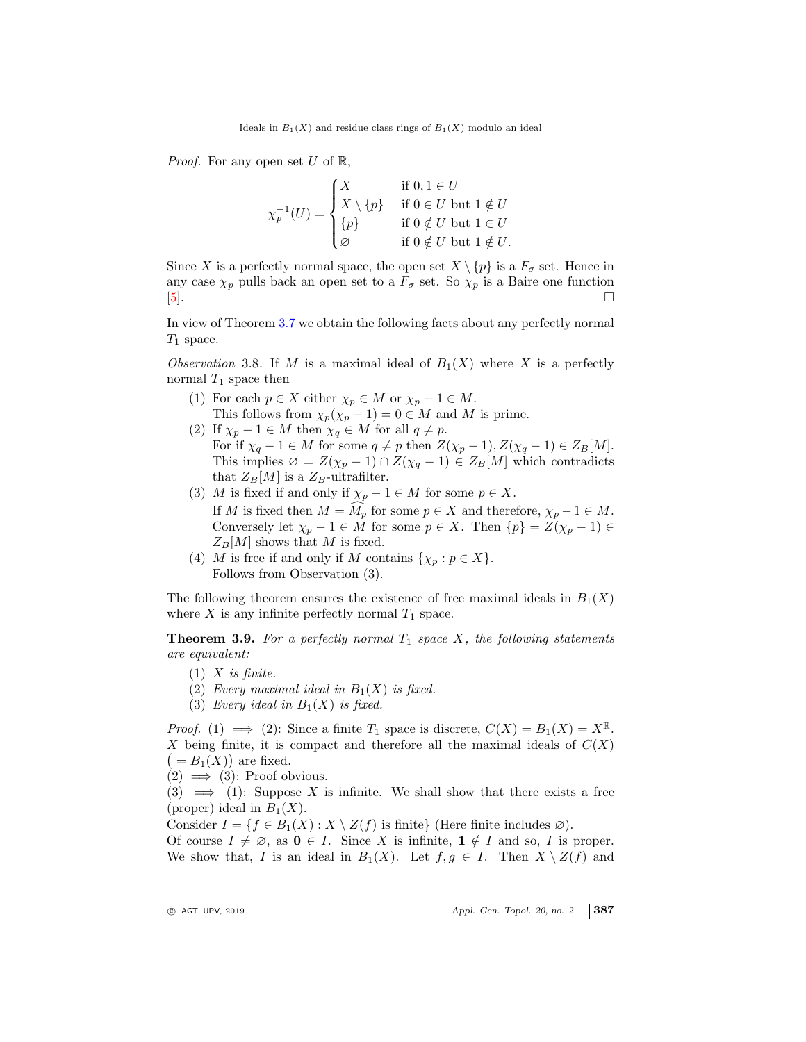*Proof.* For any open set U of  $\mathbb{R}$ ,

$$
\chi_p^{-1}(U) = \begin{cases}\nX & \text{if } 0, 1 \in U \\
X \setminus \{p\} & \text{if } 0 \in U \text{ but } 1 \notin U \\
\{p\} & \text{if } 0 \notin U \text{ but } 1 \in U \\
\varnothing & \text{if } 0 \notin U \text{ but } 1 \notin U.\n\end{cases}
$$

Since X is a perfectly normal space, the open set  $X \setminus \{p\}$  is a  $F_{\sigma}$  set. Hence in any case  $\chi_p$  pulls back an open set to a  $F_{\sigma}$  set. So  $\chi_p$  is a Baire one function [5].

In view of Theorem 3.7 we obtain the following facts about any perfectly normal  $T_1$  space.

Observation 3.8. If M is a maximal ideal of  $B_1(X)$  where X is a perfectly normal  $T_1$  space then

- (1) For each  $p \in X$  either  $\chi_p \in M$  or  $\chi_p 1 \in M$ . This follows from  $\chi_p(\chi_p - 1) = 0 \in M$  and M is prime.
- (2) If  $\chi_p 1 \in M$  then  $\chi_q \in M$  for all  $q \neq p$ . For if  $\chi_q - 1 \in M$  for some  $q \neq p$  then  $Z(\chi_p - 1), Z(\chi_q - 1) \in Z_B[M]$ . This implies  $\varnothing = Z(\chi_p - 1) \cap Z(\chi_q - 1) \in Z_B[M]$  which contradicts that  $Z_B[M]$  is a  $Z_B$ -ultrafilter.
- (3) M is fixed if and only if  $\chi_p 1 \in M$  for some  $p \in X$ . If M is fixed then  $M = M_p$  for some  $p \in X$  and therefore,  $\chi_p - 1 \in M$ . Conversely let  $\chi_p - 1 \in M$  for some  $p \in X$ . Then  $\{p\} = Z(\chi_p - 1) \in$  $Z_B[M]$  shows that M is fixed.
- (4) M is free if and only if M contains  $\{\chi_p : p \in X\}.$ Follows from Observation (3).

The following theorem ensures the existence of free maximal ideals in  $B_1(X)$ where  $X$  is any infinite perfectly normal  $T_1$  space.

**Theorem 3.9.** For a perfectly normal  $T_1$  space X, the following statements are equivalent:

- $(1)$  X is finite.
- (2) Every maximal ideal in  $B_1(X)$  is fixed.
- (3) Every ideal in  $B_1(X)$  is fixed.

*Proof.* (1)  $\implies$  (2): Since a finite  $T_1$  space is discrete,  $C(X) = B_1(X) = X^{\mathbb{R}}$ . X being finite, it is compact and therefore all the maximal ideals of  $C(X)$  $( = B_1(X) )$  are fixed.

 $(2) \implies (3)$ : Proof obvious.

(3)  $\implies$  (1): Suppose X is infinite. We shall show that there exists a free (proper) ideal in  $B_1(X)$ .

Consider  $I = \{f \in B_1(X) : \overline{X \setminus Z(f)} \text{ is finite }\}$  (Here finite includes  $\varnothing$ ).

Of course  $I \neq \emptyset$ , as  $0 \in I$ . Since X is infinite,  $1 \notin I$  and so, I is proper. We show that, I is an ideal in  $B_1(X)$ . Let  $f, g \in I$ . Then  $X \setminus \overline{Z(f)}$  and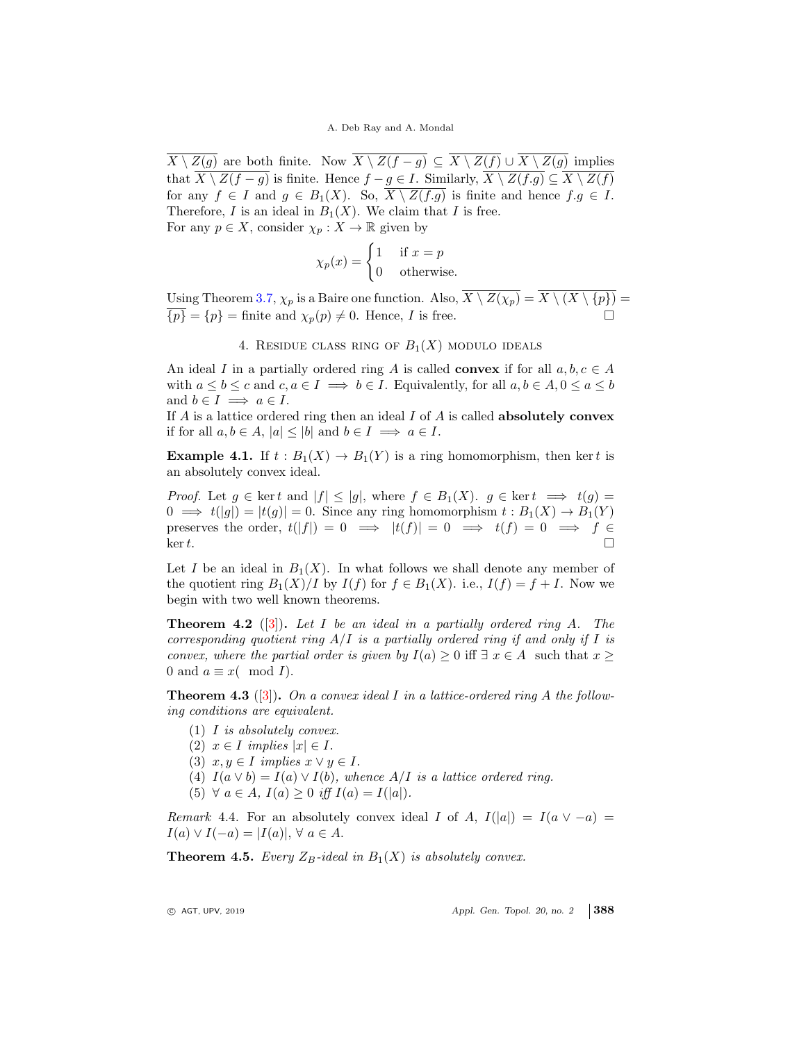$\overline{X \setminus Z(g)}$  are both finite. Now  $\overline{X \setminus Z(f-g)} \subseteq \overline{X \setminus Z(f)} \cup \overline{X \setminus Z(g)}$  implies that  $X \setminus Z(f - g)$  is finite. Hence  $f - g \in I$ . Similarly,  $X \setminus Z(f.g) \subseteq X \setminus Z(f)$ for any  $f \in I$  and  $g \in B_1(X)$ . So,  $X \setminus Z(f,g)$  is finite and hence  $f.g \in I$ . Therefore, I is an ideal in  $B_1(X)$ . We claim that I is free. For any  $p \in X$ , consider  $\chi_p : X \to \mathbb{R}$  given by

$$
\chi_p(x) = \begin{cases} 1 & \text{if } x = p \\ 0 & \text{otherwise.} \end{cases}
$$

Using Theorem 3.7,  $\chi_p$  is a Baire one function. Also,  $\overline{X \setminus Z(\chi_p)} = \overline{X \setminus (X \setminus \{p\})}$  ${p} = {p}$  = finite and  $\chi_p(p) \neq 0$ . Hence, *I* is free.

4. RESIDUE CLASS RING OF  $B_1(X)$  modulo ideals

An ideal I in a partially ordered ring A is called **convex** if for all  $a, b, c \in A$ with  $a \leq b \leq c$  and  $c, a \in I \implies b \in I$ . Equivalently, for all  $a, b \in A, 0 \leq a \leq b$ and  $b \in I \implies a \in I$ .

If A is a lattice ordered ring then an ideal I of A is called **absolutely convex** if for all  $a, b \in A$ ,  $|a| \leq |b|$  and  $b \in I \implies a \in I$ .

**Example 4.1.** If  $t : B_1(X) \to B_1(Y)$  is a ring homomorphism, then kert is an absolutely convex ideal.

*Proof.* Let  $g \in \ker t$  and  $|f| \leq |g|$ , where  $f \in B_1(X)$ .  $g \in \ker t \implies t(g) =$  $0 \implies t(|g|) = |t(g)| = 0$ . Since any ring homomorphism  $t : B_1(X) \to B_1(Y)$ preserves the order,  $t(|f|) = 0 \implies |t(f)| = 0 \implies t(f) = 0 \implies f \in$ <br>ker t.  $\ker t$ .

Let I be an ideal in  $B_1(X)$ . In what follows we shall denote any member of the quotient ring  $B_1(X)/I$  by  $I(f)$  for  $f \in B_1(X)$ . i.e.,  $I(f) = f + I$ . Now we begin with two well known theorems.

**Theorem 4.2** ([3]). Let I be an ideal in a partially ordered ring A. The corresponding quotient ring  $A/I$  is a partially ordered ring if and only if I is convex, where the partial order is given by  $I(a) \geq 0$  iff  $\exists x \in A$  such that  $x \geq 0$ 0 and  $a \equiv x \pmod{I}$ .

**Theorem 4.3** ([3]). On a convex ideal I in a lattice-ordered ring A the following conditions are equivalent.

- (1) I is absolutely convex.
- (2)  $x \in I$  implies  $|x| \in I$ .
- (3)  $x, y \in I$  implies  $x \vee y \in I$ .
- (4)  $I(a \vee b) = I(a) \vee I(b)$ , whence  $A/I$  is a lattice ordered ring.
- (5)  $\forall a \in A, I(a) \geq 0$  iff  $I(a) = I(|a|)$ .

Remark 4.4. For an absolutely convex ideal I of A,  $I(|a|) = I(a \vee -a)$  $I(a) \vee I(-a) = |I(a)|, \forall a \in A.$ 

**Theorem 4.5.** Every  $Z_B$ -ideal in  $B_1(X)$  is absolutely convex.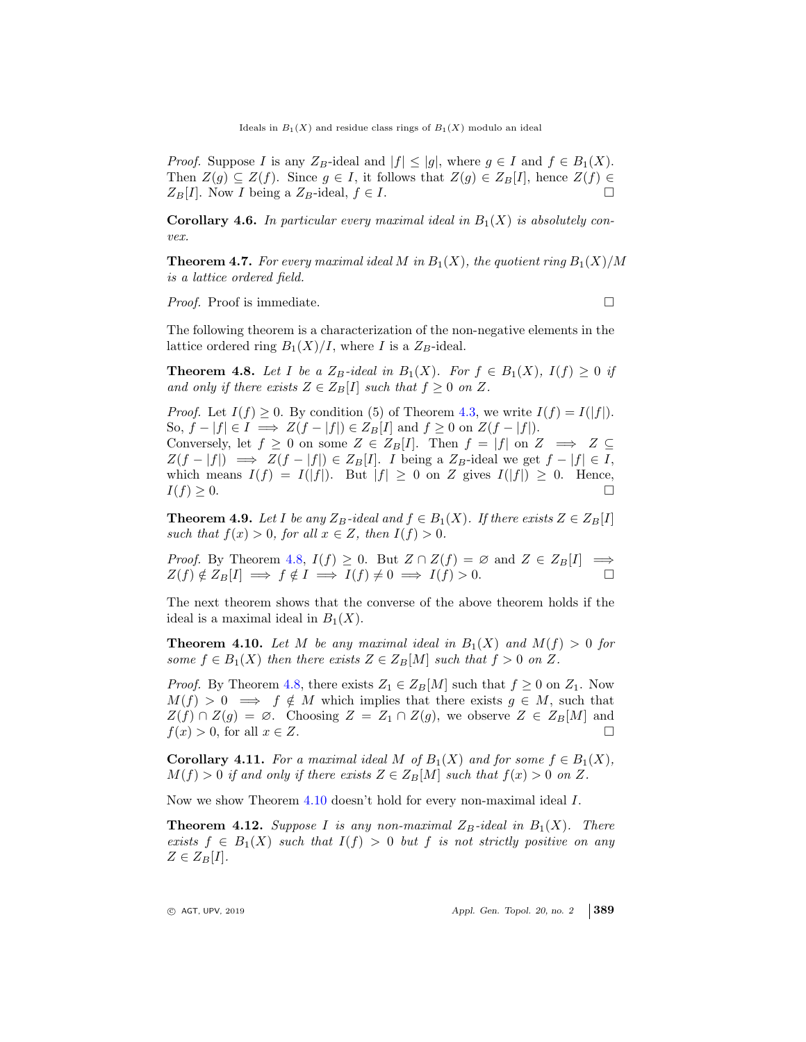*Proof.* Suppose I is any  $Z_B$ -ideal and  $|f| \le |g|$ , where  $g \in I$  and  $f \in B_1(X)$ . Then  $Z(g) \subseteq Z(f)$ . Since  $g \in I$ , it follows that  $Z(g) \in Z_B[I]$ , hence  $Z(f) \in Z_B[I]$ . Now I being a  $Z_B$ -ideal  $f \in I$  $Z_B[I]$ . Now *I* being a  $Z_B$ -ideal,  $f \in I$ .

**Corollary 4.6.** In particular every maximal ideal in  $B_1(X)$  is absolutely convex.

**Theorem 4.7.** For every maximal ideal M in  $B_1(X)$ , the quotient ring  $B_1(X)/M$ is a lattice ordered field.

*Proof.* Proof is immediate. □

The following theorem is a characterization of the non-negative elements in the lattice ordered ring  $B_1(X)/I$ , where I is a  $Z_B$ -ideal.

**Theorem 4.8.** Let I be a  $Z_B$ -ideal in  $B_1(X)$ . For  $f \in B_1(X)$ ,  $I(f) \geq 0$  if and only if there exists  $Z \in Z_B[I]$  such that  $f \geq 0$  on Z.

*Proof.* Let  $I(f) \geq 0$ . By condition (5) of Theorem 4.3, we write  $I(f) = I(|f|)$ . So,  $f - |f| \in I \implies Z(f - |f|) \in Z_B[I]$  and  $f \ge 0$  on  $Z(f - |f|)$ . Conversely, let  $f \geq 0$  on some  $Z \in Z_B[I]$ . Then  $f = |f|$  on  $Z \implies Z \subseteq$  $Z(f - |f|) \implies Z(f - |f|) \in Z_B[I].$  I being a  $Z_B$ -ideal we get  $f - |f| \in I$ , which means  $I(f) = I(|f|)$ . But  $|f| \ge 0$  on Z gives  $I(|f|) \ge 0$ . Hence,  $I(f) \ge 0$ .  $I(f) \geq 0.$ 

**Theorem 4.9.** Let I be any  $Z_B$ -ideal and  $f \in B_1(X)$ . If there exists  $Z \in Z_B[I]$ such that  $f(x) > 0$ , for all  $x \in Z$ , then  $I(f) > 0$ .

*Proof.* By Theorem 4.8,  $I(f) \ge 0$ . But  $Z \cap Z(f) = \emptyset$  and  $Z \in Z_B[I] \implies Z(f) \notin Z_B[I] \implies f \notin I \implies I(f) \ne 0 \implies I(f) > 0$  $Z(f) \notin Z_B[I] \implies f \notin I \implies I(f) \neq 0 \implies I(f) > 0.$ 

The next theorem shows that the converse of the above theorem holds if the ideal is a maximal ideal in  $B_1(X)$ .

**Theorem 4.10.** Let M be any maximal ideal in  $B_1(X)$  and  $M(f) > 0$  for some  $f \in B_1(X)$  then there exists  $Z \in Z_B[M]$  such that  $f > 0$  on Z.

*Proof.* By Theorem 4.8, there exists  $Z_1 \in Z_B[M]$  such that  $f \geq 0$  on  $Z_1$ . Now  $M(f) > 0 \implies f \notin M$  which implies that there exists  $g \in M$ , such that  $Z(f) \cap Z(g) = \emptyset$ . Choosing  $Z = Z_1 \cap Z(g)$ , we observe  $Z \in Z_B[M]$  and  $f(x) > 0$ , for all  $x \in Z$ .  $f(x) > 0$ , for all  $x \in Z$ .

**Corollary 4.11.** For a maximal ideal M of  $B_1(X)$  and for some  $f \in B_1(X)$ ,  $M(f) > 0$  if and only if there exists  $Z \in Z_B[M]$  such that  $f(x) > 0$  on Z.

Now we show Theorem 4.10 doesn't hold for every non-maximal ideal I.

**Theorem 4.12.** Suppose I is any non-maximal  $Z_B$ -ideal in  $B_1(X)$ . There exists  $f \in B_1(X)$  such that  $I(f) > 0$  but f is not strictly positive on any  $Z \in Z_B[I].$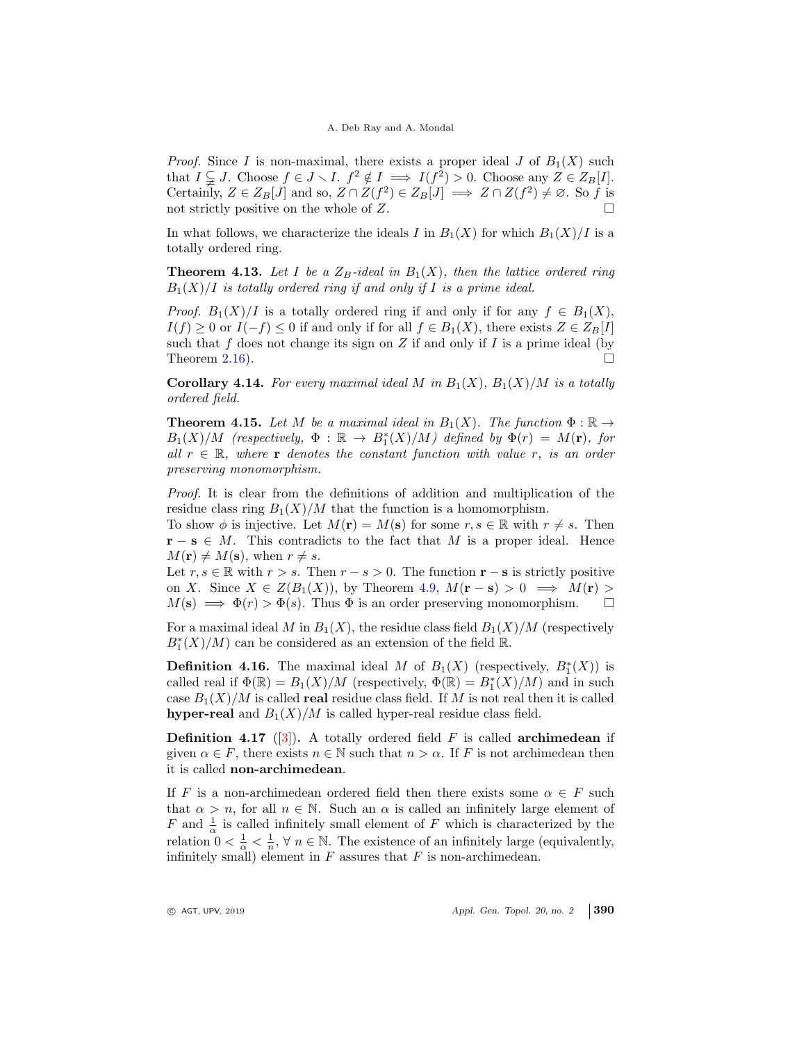*Proof.* Since I is non-maximal, there exists a proper ideal J of  $B_1(X)$  such that  $I \subsetneq J$ . Choose  $f \in J \setminus I$ .  $f^2 \notin I \implies I(f^2) > 0$ . Choose any  $Z \in Z_B[I]$ . Certainly,  $Z \in Z_B[J]$  and so,  $Z \cap Z(f^2) \in Z_B[J] \implies Z \cap Z(f^2) \neq \emptyset$ . So f is not strictly positive on the whole of Z.

In what follows, we characterize the ideals I in  $B_1(X)$  for which  $B_1(X)/I$  is a totally ordered ring.

**Theorem 4.13.** Let I be a  $Z_B$ -ideal in  $B_1(X)$ , then the lattice ordered ring  $B_1(X)/I$  is totally ordered ring if and only if I is a prime ideal.

*Proof.*  $B_1(X)/I$  is a totally ordered ring if and only if for any  $f \in B_1(X)$ ,  $I(f) \geq 0$  or  $I(-f) \leq 0$  if and only if for all  $f \in B_1(X)$ , there exists  $Z \in Z_B[I]$ such that f does not change its sign on Z if and only if I is a prime ideal (by Theorem 2.16).  $\Box$ 

**Corollary 4.14.** For every maximal ideal M in  $B_1(X)$ ,  $B_1(X)/M$  is a totally ordered field.

**Theorem 4.15.** Let M be a maximal ideal in  $B_1(X)$ . The function  $\Phi : \mathbb{R} \to$  $B_1(X)/M$  (respectively,  $\Phi : \mathbb{R} \to B_1^*(X)/M$ ) defined by  $\Phi(r) = M(r)$ , for all  $r \in \mathbb{R}$ , where r denotes the constant function with value r, is an order preserving monomorphism.

Proof. It is clear from the definitions of addition and multiplication of the residue class ring  $B_1(X)/M$  that the function is a homomorphism.

To show  $\phi$  is injective. Let  $M(\mathbf{r}) = M(\mathbf{s})$  for some  $r, s \in \mathbb{R}$  with  $r \neq s$ . Then  $\mathbf{r} - \mathbf{s} \in M$ . This contradicts to the fact that M is a proper ideal. Hence  $M(\mathbf{r}) \neq M(\mathbf{s})$ , when  $r \neq s$ .

Let  $r, s \in \mathbb{R}$  with  $r > s$ . Then  $r - s > 0$ . The function  $r - s$  is strictly positive on X. Since  $X \in Z(B_1(X))$ , by Theorem 4.9,  $M(\mathbf{r}-\mathbf{s}) > 0 \implies M(\mathbf{r}) >$  $M(\mathbf{s}) \implies \Phi(r) > \Phi(s)$ . Thus  $\Phi$  is an order preserving monomorphism.

For a maximal ideal M in  $B_1(X)$ , the residue class field  $B_1(X)/M$  (respectively  $B_1^\ast(X)/M)$  can be considered as an extension of the field  ${\mathbb R}.$ 

**Definition 4.16.** The maximal ideal M of  $B_1(X)$  (respectively,  $B_1^*(X)$ ) is called real if  $\Phi(\mathbb{R}) = B_1(X)/M$  (respectively,  $\Phi(\mathbb{R}) = B_1^*(X)/M$ ) and in such case  $B_1(X)/M$  is called **real** residue class field. If M is not real then it is called hyper-real and  $B_1(X)/M$  is called hyper-real residue class field.

**Definition 4.17** ([3]). A totally ordered field  $F$  is called **archimedean** if given  $\alpha \in F$ , there exists  $n \in \mathbb{N}$  such that  $n > \alpha$ . If F is not archimedean then it is called non-archimedean.

If F is a non-archimedean ordered field then there exists some  $\alpha \in F$  such that  $\alpha > n$ , for all  $n \in \mathbb{N}$ . Such an  $\alpha$  is called an infinitely large element of F and  $\frac{1}{\alpha}$  is called infinitely small element of F which is characterized by the relation  $0 < \frac{1}{\alpha} < \frac{1}{n}$ ,  $\forall n \in \mathbb{N}$ . The existence of an infinitely large (equivalently, infinitely small) element in  $F$  assures that  $F$  is non-archimedean.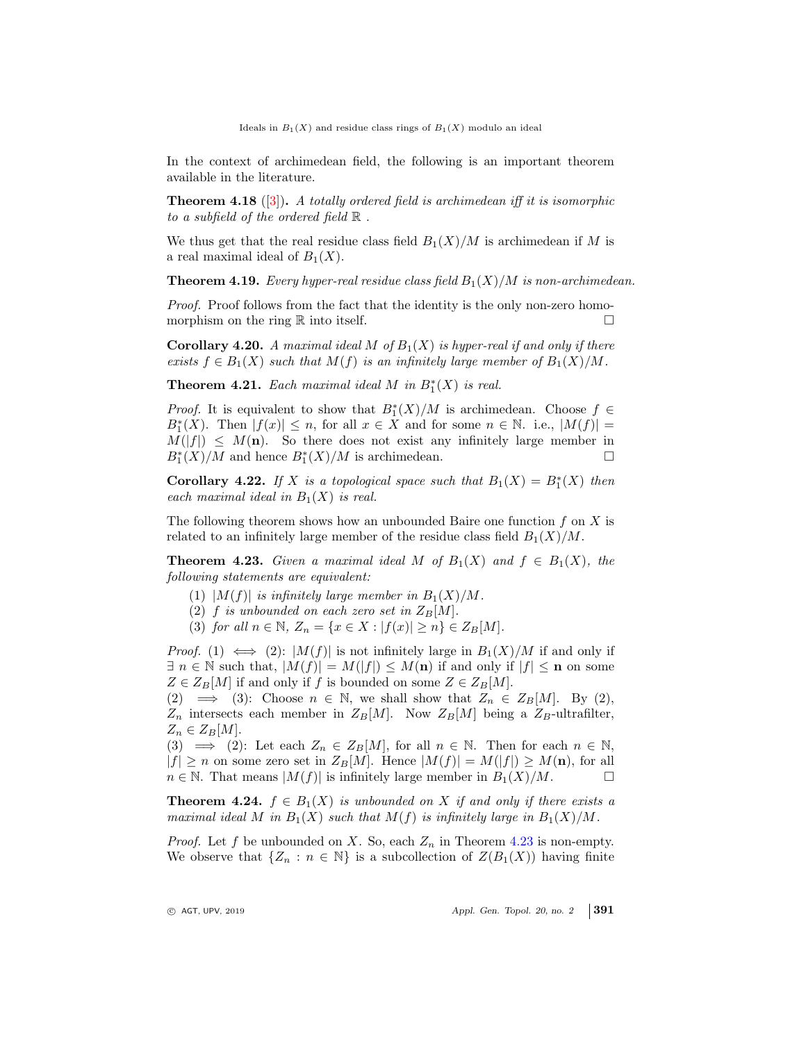Ideals in  $B_1(X)$  and residue class rings of  $B_1(X)$  modulo an ideal

In the context of archimedean field, the following is an important theorem available in the literature.

**Theorem 4.18** ([3]). A totally ordered field is archimedean iff it is isomorphic to a subfield of the ordered field  $\mathbb R$ .

We thus get that the real residue class field  $B_1(X)/M$  is archimedean if M is a real maximal ideal of  $B_1(X)$ .

**Theorem 4.19.** Every hyper-real residue class field  $B_1(X)/M$  is non-archimedean.

Proof. Proof follows from the fact that the identity is the only non-zero homomorphism on the ring  $\mathbb R$  into itself.

**Corollary 4.20.** A maximal ideal M of  $B_1(X)$  is hyper-real if and only if there exists  $f \in B_1(X)$  such that  $M(f)$  is an infinitely large member of  $B_1(X)/M$ .

**Theorem 4.21.** Each maximal ideal M in  $B_1^*(X)$  is real.

*Proof.* It is equivalent to show that  $B_1^*(X)/M$  is archimedean. Choose  $f \in$  $B_1^*(X)$ . Then  $|f(x)| \leq n$ , for all  $x \in X$  and for some  $n \in \mathbb{N}$ . i.e.,  $|M(f)| =$  $M(|f|) \leq M(\mathbf{n})$ . So there does not exist any infinitely large member in  $B^*(X)/M$  and hence  $B^*(X)/M$  is archimedean.  $B_1^*(X)/M$  and hence  $B_1^*(X)/M$  is archimedean.

**Corollary 4.22.** If X is a topological space such that  $B_1(X) = B_1^*(X)$  then each maximal ideal in  $B_1(X)$  is real.

The following theorem shows how an unbounded Baire one function  $f$  on  $X$  is related to an infinitely large member of the residue class field  $B_1(X)/M$ .

**Theorem 4.23.** Given a maximal ideal M of  $B_1(X)$  and  $f \in B_1(X)$ , the following statements are equivalent:

- (1)  $|M(f)|$  is infinitely large member in  $B_1(X)/M$ .
- (2) f is unbounded on each zero set in  $Z_B[M]$ .
- (3) for all  $n \in \mathbb{N}$ ,  $Z_n = \{x \in X : |f(x)| \ge n\} \in Z_B[M]$ .

*Proof.* (1)  $\iff$  (2): |M(f)| is not infinitely large in  $B_1(X)/M$  if and only if  $\exists n \in \mathbb{N}$  such that,  $|M(f)| = M(|f|) \leq M(n)$  if and only if  $|f| \leq n$  on some  $Z \in Z_B[M]$  if and only if f is bounded on some  $Z \in Z_B[M]$ .

(2)  $\implies$  (3): Choose  $n \in \mathbb{N}$ , we shall show that  $Z_n \in Z_B[M]$ . By (2),  $Z_n$  intersects each member in  $Z_B[M]$ . Now  $Z_B[M]$  being a  $Z_B$ -ultrafilter,  $Z_n \in Z_B[M].$ 

(3)  $\implies$  (2): Let each  $Z_n \in Z_B[M]$ , for all  $n \in \mathbb{N}$ . Then for each  $n \in \mathbb{N}$ ,  $|f| \ge n$  on some zero set in  $Z_B[M]$ . Hence  $|M(f)| = M(|f|) \ge M(\mathbf{n})$ , for all  $n \in \mathbb{N}$ . That means  $|M(f)|$  is infinitely large member in  $B_1(X)/M$ .  $n \in \mathbb{N}$ . That means  $|M(f)|$  is infinitely large member in  $B_1(X)/M$ .

**Theorem 4.24.**  $f \in B_1(X)$  is unbounded on X if and only if there exists a maximal ideal M in  $B_1(X)$  such that  $M(f)$  is infinitely large in  $B_1(X)/M$ .

*Proof.* Let f be unbounded on X. So, each  $Z_n$  in Theorem 4.23 is non-empty. We observe that  $\{Z_n : n \in \mathbb{N}\}\$ is a subcollection of  $Z(B_1(X))$  having finite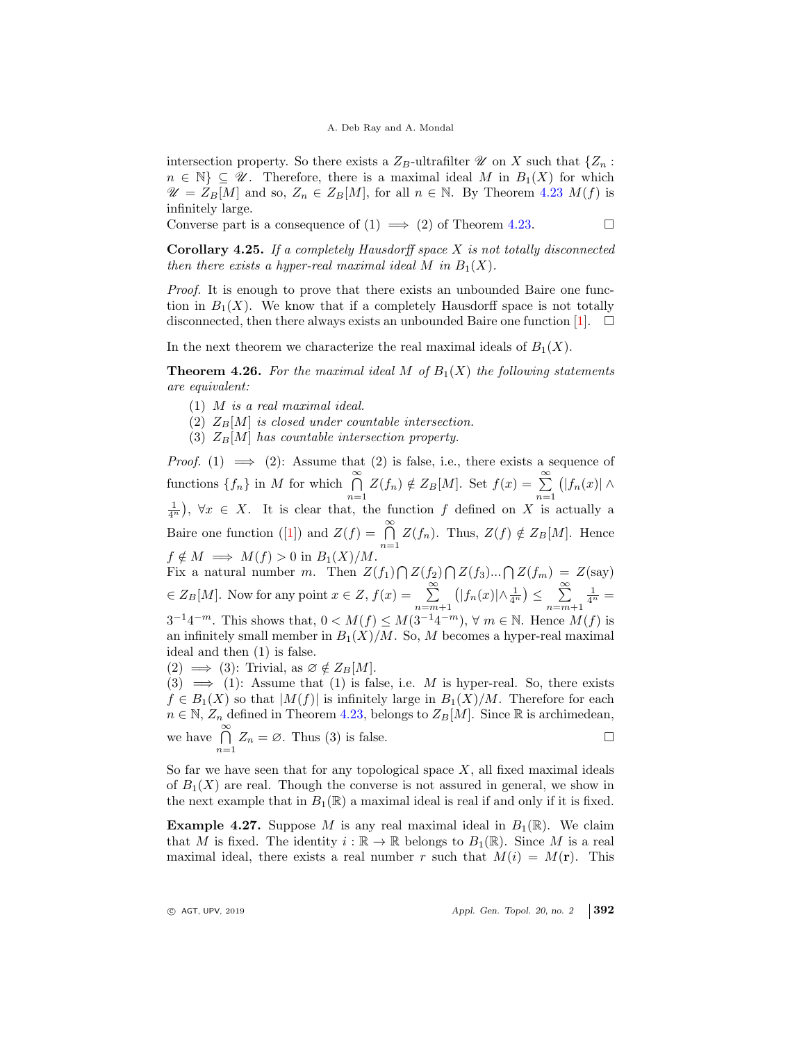intersection property. So there exists a  $Z_B$ -ultrafilter  $\mathcal U$  on X such that  $\{Z_n:$  $n \in \mathbb{N} \subseteq \mathcal{U}$ . Therefore, there is a maximal ideal M in  $B_1(X)$  for which  $\mathscr{U} = Z_B[M]$  and so,  $Z_n \in Z_B[M]$ , for all  $n \in \mathbb{N}$ . By Theorem 4.23  $M(f)$  is infinitely large.

Converse part is a consequence of  $(1) \implies (2)$  of Theorem 4.23.

**Corollary 4.25.** If a completely Hausdorff space  $X$  is not totally disconnected then there exists a hyper-real maximal ideal M in  $B_1(X)$ .

Proof. It is enough to prove that there exists an unbounded Baire one function in  $B_1(X)$ . We know that if a completely Hausdorff space is not totally disconnected, then there always exists an unbounded Baire one function  $[1]$ .  $\square$ 

In the next theorem we characterize the real maximal ideals of  $B_1(X)$ .

**Theorem 4.26.** For the maximal ideal M of  $B_1(X)$  the following statements are equivalent:

- (1) M is a real maximal ideal.
- (2)  $Z_B[M]$  is closed under countable intersection.
- (3)  $Z_B[M]$  has countable intersection property.

*Proof.* (1)  $\implies$  (2): Assume that (2) is false, i.e., there exists a sequence of functions  $\{f_n\}$  in M for which  $\bigcap_{n=1}^{\infty} Z(f_n) \notin Z_B[M]$ . Set  $f(x) = \sum_{n=1}^{\infty}$  $\bigl( |f_n(x)| \wedge$  $\frac{1}{4^n}$ ,  $\forall x \in X$ . It is clear that, the function f defined on X is actually a Baire one function ([1]) and  $Z(f) = \bigcap_{n=1}^{\infty} Z(f_n)$ . Thus,  $Z(f) \notin Z_B[M]$ . Hence  $f \notin M \implies M(f) > 0$  in  $B_1(X)/M$ .

Fix a natural number m. Then  $Z(f_1) \bigcap Z(f_2) \bigcap Z(f_3) \dots \bigcap Z(f_m) = Z(\text{say})$  $\in Z_B[M]$ . Now for any point  $x \in Z$ ,  $f(x) = \sum_{n=m+1}^{\infty}$  $\left(|f_n(x)| \wedge \frac{1}{4^n}\right) \leq \sum_{n=1}^{\infty}$  $n = m+1$  $\frac{1}{4^n} =$  $3^{-1}4^{-m}$ . This shows that,  $0 < M(f) \leq M(3^{-1}4^{-m})$ ,  $\forall m \in \mathbb{N}$ . Hence  $M(f)$  is an infinitely small member in  $B_1(X)/M$ . So, M becomes a hyper-real maximal ideal and then (1) is false.

 $(2) \implies (3)$ : Trivial, as  $\varnothing \notin Z_B[M].$ 

 $(3) \implies (1)$ : Assume that  $(1)$  is false, i.e. M is hyper-real. So, there exists  $f \in B_1(X)$  so that  $|M(f)|$  is infinitely large in  $B_1(X)/M$ . Therefore for each  $n \in \mathbb{N}$ ,  $Z_n$  defined in Theorem 4.23, belongs to  $Z_B[M]$ . Since  $\mathbb R$  is archimedean, we have  $\bigcap_{n=1}^{\infty} Z_n = \emptyset$ . Thus (3) is false.

So far we have seen that for any topological space  $X$ , all fixed maximal ideals of  $B_1(X)$  are real. Though the converse is not assured in general, we show in the next example that in  $B_1(\mathbb{R})$  a maximal ideal is real if and only if it is fixed.

**Example 4.27.** Suppose M is any real maximal ideal in  $B_1(\mathbb{R})$ . We claim that M is fixed. The identity  $i : \mathbb{R} \to \mathbb{R}$  belongs to  $B_1(\mathbb{R})$ . Since M is a real maximal ideal, there exists a real number r such that  $M(i) = M(\mathbf{r})$ . This